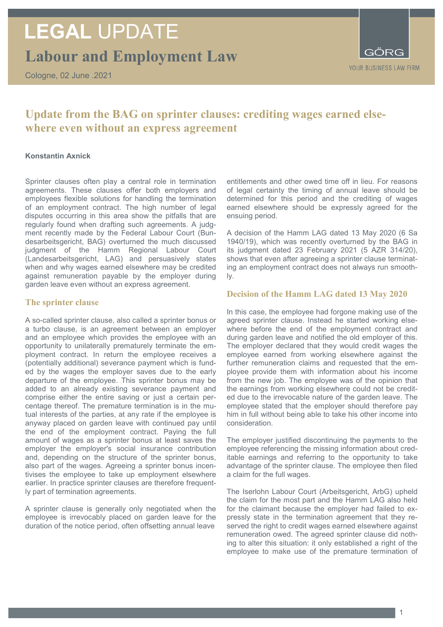# **LEGAL** UPDATE

**Labour and Employment Law**

Cologne, 02 June .2021



### **Update from the BAG on sprinter clauses: crediting wages earned elsewhere even without an express agreement**

#### **Konstantin Axnick**

Sprinter clauses often play a central role in termination agreements. These clauses offer both employers and employees flexible solutions for handling the termination of an employment contract. The high number of legal disputes occurring in this area show the pitfalls that are regularly found when drafting such agreements. A judgment recently made by the Federal Labour Court (Bundesarbeitsgericht, BAG) overturned the much discussed judgment of the Hamm Regional Labour Court (Landesarbeitsgericht, LAG) and persuasively states when and why wages earned elsewhere may be credited against remuneration payable by the employer during garden leave even without an express agreement.

#### **The sprinter clause**

A so-called sprinter clause, also called a sprinter bonus or a turbo clause, is an agreement between an employer and an employee which provides the employee with an opportunity to unilaterally prematurely terminate the employment contract. In return the employee receives a (potentially additional) severance payment which is funded by the wages the employer saves due to the early departure of the employee. This sprinter bonus may be added to an already existing severance payment and comprise either the entire saving or just a certain percentage thereof. The premature termination is in the mutual interests of the parties, at any rate if the employee is anyway placed on garden leave with continued pay until the end of the employment contract. Paying the full amount of wages as a sprinter bonus at least saves the employer the employer's social insurance contribution and, depending on the structure of the sprinter bonus, also part of the wages. Agreeing a sprinter bonus incentivises the employee to take up employment elsewhere earlier. In practice sprinter clauses are therefore frequently part of termination agreements.

A sprinter clause is generally only negotiated when the employee is irrevocably placed on garden leave for the duration of the notice period, often offsetting annual leave

entitlements and other owed time off in lieu. For reasons of legal certainty the timing of annual leave should be determined for this period and the crediting of wages earned elsewhere should be expressly agreed for the ensuing period.

A decision of the Hamm LAG dated 13 May 2020 (6 Sa 1940/19), which was recently overturned by the BAG in its judgment dated 23 February 2021 (5 AZR 314/20), shows that even after agreeing a sprinter clause terminating an employment contract does not always run smoothly.

#### **Decision of the Hamm LAG dated 13 May 2020**

In this case, the employee had forgone making use of the agreed sprinter clause. Instead he started working elsewhere before the end of the employment contract and during garden leave and notified the old employer of this. The employer declared that they would credit wages the employee earned from working elsewhere against the further remuneration claims and requested that the employee provide them with information about his income from the new job. The employee was of the opinion that the earnings from working elsewhere could not be credited due to the irrevocable nature of the garden leave. The employee stated that the employer should therefore pay him in full without being able to take his other income into consideration.

The employer justified discontinuing the payments to the employee referencing the missing information about creditable earnings and referring to the opportunity to take advantage of the sprinter clause. The employee then filed a claim for the full wages.

The Iserlohn Labour Court (Arbeitsgericht, ArbG) upheld the claim for the most part and the Hamm LAG also held for the claimant because the employer had failed to expressly state in the termination agreement that they reserved the right to credit wages earned elsewhere against remuneration owed. The agreed sprinter clause did nothing to alter this situation: it only established a right of the employee to make use of the premature termination of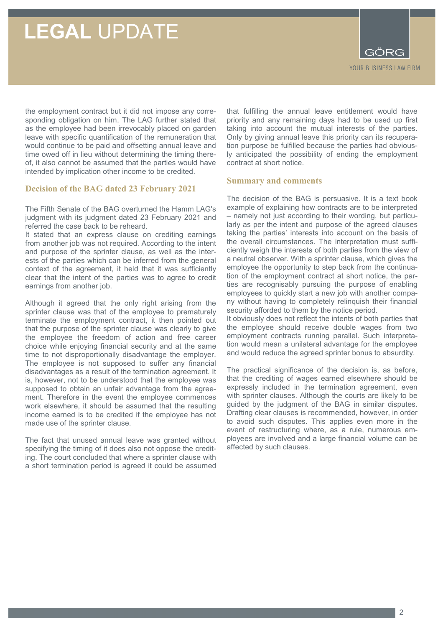### **LEGAL** UPDATE

YOUR BUSINESS LAW FIRM

the employment contract but it did not impose any corresponding obligation on him. The LAG further stated that as the employee had been irrevocably placed on garden leave with specific quantification of the remuneration that would continue to be paid and offsetting annual leave and time owed off in lieu without determining the timing thereof, it also cannot be assumed that the parties would have intended by implication other income to be credited.

#### **Decision of the BAG dated 23 February 2021**

The Fifth Senate of the BAG overturned the Hamm LAG's judgment with its judgment dated 23 February 2021 and referred the case back to be reheard.

It stated that an express clause on crediting earnings from another job was not required. According to the intent and purpose of the sprinter clause, as well as the interests of the parties which can be inferred from the general context of the agreement, it held that it was sufficiently clear that the intent of the parties was to agree to credit earnings from another job.

Although it agreed that the only right arising from the sprinter clause was that of the employee to prematurely terminate the employment contract, it then pointed out that the purpose of the sprinter clause was clearly to give the employee the freedom of action and free career choice while enjoying financial security and at the same time to not disproportionally disadvantage the employer. The employee is not supposed to suffer any financial disadvantages as a result of the termination agreement. It is, however, not to be understood that the employee was supposed to obtain an unfair advantage from the agreement. Therefore in the event the employee commences work elsewhere, it should be assumed that the resulting income earned is to be credited if the employee has not made use of the sprinter clause.

The fact that unused annual leave was granted without specifying the timing of it does also not oppose the crediting. The court concluded that where a sprinter clause with a short termination period is agreed it could be assumed

that fulfilling the annual leave entitlement would have priority and any remaining days had to be used up first taking into account the mutual interests of the parties. Only by giving annual leave this priority can its recuperation purpose be fulfilled because the parties had obviously anticipated the possibility of ending the employment contract at short notice.

#### **Summary and comments**

The decision of the BAG is persuasive. It is a text book example of explaining how contracts are to be interpreted – namely not just according to their wording, but particularly as per the intent and purpose of the agreed clauses taking the parties' interests into account on the basis of the overall circumstances. The interpretation must sufficiently weigh the interests of both parties from the view of a neutral observer. With a sprinter clause, which gives the employee the opportunity to step back from the continuation of the employment contract at short notice, the parties are recognisably pursuing the purpose of enabling employees to quickly start a new job with another company without having to completely relinquish their financial security afforded to them by the notice period.

It obviously does not reflect the intents of both parties that the employee should receive double wages from two employment contracts running parallel. Such interpretation would mean a unilateral advantage for the employee and would reduce the agreed sprinter bonus to absurdity.

The practical significance of the decision is, as before, that the crediting of wages earned elsewhere should be expressly included in the termination agreement, even with sprinter clauses. Although the courts are likely to be guided by the judgment of the BAG in similar disputes. Drafting clear clauses is recommended, however, in order to avoid such disputes. This applies even more in the event of restructuring where, as a rule, numerous employees are involved and a large financial volume can be affected by such clauses.